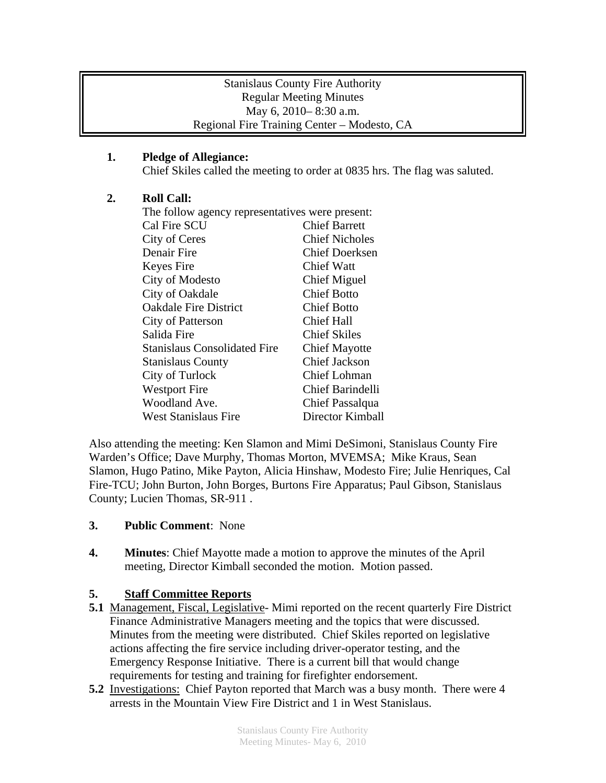### Stanislaus County Fire Authority Regular Meeting Minutes May 6, 2010– 8:30 a.m. Regional Fire Training Center – Modesto, CA

## **1. Pledge of Allegiance:**

Chief Skiles called the meeting to order at 0835 hrs. The flag was saluted.

### **2. Roll Call:**

| The follow agency representatives were present: |                         |
|-------------------------------------------------|-------------------------|
| Cal Fire SCU                                    | <b>Chief Barrett</b>    |
| City of Ceres                                   | <b>Chief Nicholes</b>   |
| Denair Fire                                     | <b>Chief Doerksen</b>   |
| Keyes Fire                                      | Chief Watt              |
| City of Modesto                                 | <b>Chief Miguel</b>     |
| City of Oakdale                                 | <b>Chief Botto</b>      |
| <b>Oakdale Fire District</b>                    | <b>Chief Botto</b>      |
| City of Patterson                               | <b>Chief Hall</b>       |
| Salida Fire                                     | <b>Chief Skiles</b>     |
| <b>Stanislaus Consolidated Fire</b>             | <b>Chief Mayotte</b>    |
| <b>Stanislaus County</b>                        | <b>Chief Jackson</b>    |
| City of Turlock                                 | Chief Lohman            |
| <b>Westport Fire</b>                            | <b>Chief Barindelli</b> |
| Woodland Ave.                                   | Chief Passalqua         |
| <b>West Stanislaus Fire</b>                     | Director Kimball        |

Also attending the meeting: Ken Slamon and Mimi DeSimoni, Stanislaus County Fire Warden's Office; Dave Murphy, Thomas Morton, MVEMSA; Mike Kraus, Sean Slamon, Hugo Patino, Mike Payton, Alicia Hinshaw, Modesto Fire; Julie Henriques, Cal Fire-TCU; John Burton, John Borges, Burtons Fire Apparatus; Paul Gibson, Stanislaus County; Lucien Thomas, SR-911 .

### **3. Public Comment**: None

**4. Minutes**: Chief Mayotte made a motion to approve the minutes of the April meeting, Director Kimball seconded the motion. Motion passed.

# **5. Staff Committee Reports**

- **5.1** Management, Fiscal, Legislative- Mimi reported on the recent quarterly Fire District Finance Administrative Managers meeting and the topics that were discussed. Minutes from the meeting were distributed. Chief Skiles reported on legislative actions affecting the fire service including driver-operator testing, and the Emergency Response Initiative. There is a current bill that would change requirements for testing and training for firefighter endorsement.
- **5.2** Investigations: Chief Payton reported that March was a busy month. There were 4 arrests in the Mountain View Fire District and 1 in West Stanislaus.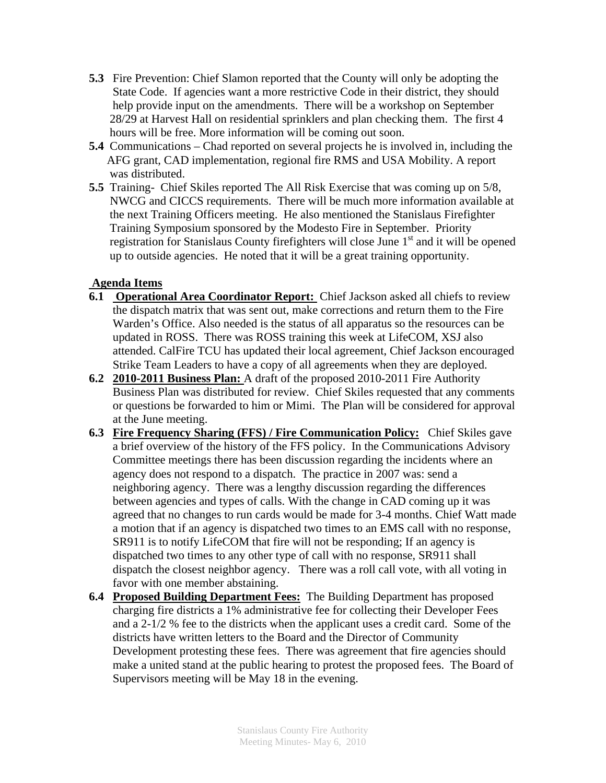- **5.3** Fire Prevention: Chief Slamon reported that the County will only be adopting the State Code. If agencies want a more restrictive Code in their district, they should help provide input on the amendments. There will be a workshop on September 28/29 at Harvest Hall on residential sprinklers and plan checking them. The first 4 hours will be free. More information will be coming out soon.
- **5.4** Communications Chad reported on several projects he is involved in, including the AFG grant, CAD implementation, regional fire RMS and USA Mobility. A report was distributed.
- **5.5** Training- Chief Skiles reported The All Risk Exercise that was coming up on 5/8, NWCG and CICCS requirements. There will be much more information available at the next Training Officers meeting. He also mentioned the Stanislaus Firefighter Training Symposium sponsored by the Modesto Fire in September. Priority registration for Stanislaus County firefighters will close June  $1<sup>st</sup>$  and it will be opened up to outside agencies. He noted that it will be a great training opportunity.

#### **Agenda Items**

- **6.1 Operational Area Coordinator Report:** Chief Jackson asked all chiefs to review the dispatch matrix that was sent out, make corrections and return them to the Fire Warden's Office. Also needed is the status of all apparatus so the resources can be updated in ROSS. There was ROSS training this week at LifeCOM, XSJ also attended. CalFire TCU has updated their local agreement, Chief Jackson encouraged Strike Team Leaders to have a copy of all agreements when they are deployed.
- **6.2 2010-2011 Business Plan:** A draft of the proposed 2010-2011 Fire Authority Business Plan was distributed for review. Chief Skiles requested that any comments or questions be forwarded to him or Mimi. The Plan will be considered for approval at the June meeting.
- **6.3 Fire Frequency Sharing (FFS) / Fire Communication Policy:** Chief Skiles gave a brief overview of the history of the FFS policy. In the Communications Advisory Committee meetings there has been discussion regarding the incidents where an agency does not respond to a dispatch. The practice in 2007 was: send a neighboring agency. There was a lengthy discussion regarding the differences between agencies and types of calls. With the change in CAD coming up it was agreed that no changes to run cards would be made for 3-4 months. Chief Watt made a motion that if an agency is dispatched two times to an EMS call with no response, SR911 is to notify LifeCOM that fire will not be responding; If an agency is dispatched two times to any other type of call with no response, SR911 shall dispatch the closest neighbor agency. There was a roll call vote, with all voting in favor with one member abstaining.
- **6.4 Proposed Building Department Fees:** The Building Department has proposed charging fire districts a 1% administrative fee for collecting their Developer Fees and a 2-1/2 % fee to the districts when the applicant uses a credit card. Some of the districts have written letters to the Board and the Director of Community Development protesting these fees. There was agreement that fire agencies should make a united stand at the public hearing to protest the proposed fees. The Board of Supervisors meeting will be May 18 in the evening.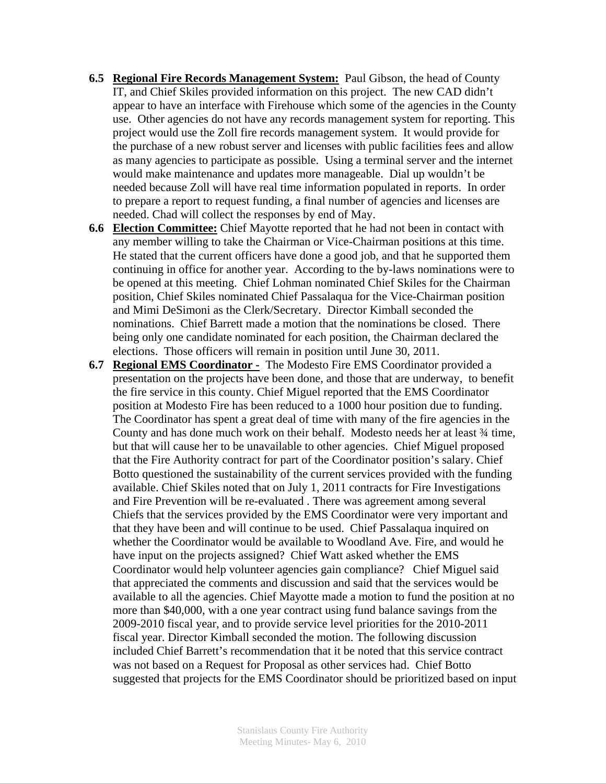- **6.5 Regional Fire Records Management System:** Paul Gibson, the head of County IT, and Chief Skiles provided information on this project. The new CAD didn't appear to have an interface with Firehouse which some of the agencies in the County use. Other agencies do not have any records management system for reporting. This project would use the Zoll fire records management system. It would provide for the purchase of a new robust server and licenses with public facilities fees and allow as many agencies to participate as possible. Using a terminal server and the internet would make maintenance and updates more manageable. Dial up wouldn't be needed because Zoll will have real time information populated in reports. In order to prepare a report to request funding, a final number of agencies and licenses are needed. Chad will collect the responses by end of May.
- **6.6 Election Committee:** Chief Mayotte reported that he had not been in contact with any member willing to take the Chairman or Vice-Chairman positions at this time. He stated that the current officers have done a good job, and that he supported them continuing in office for another year. According to the by-laws nominations were to be opened at this meeting. Chief Lohman nominated Chief Skiles for the Chairman position, Chief Skiles nominated Chief Passalaqua for the Vice-Chairman position and Mimi DeSimoni as the Clerk/Secretary. Director Kimball seconded the nominations. Chief Barrett made a motion that the nominations be closed. There being only one candidate nominated for each position, the Chairman declared the elections. Those officers will remain in position until June 30, 2011.
- **6.7 Regional EMS Coordinator -** The Modesto Fire EMS Coordinator provided a presentation on the projects have been done, and those that are underway, to benefit the fire service in this county. Chief Miguel reported that the EMS Coordinator position at Modesto Fire has been reduced to a 1000 hour position due to funding. The Coordinator has spent a great deal of time with many of the fire agencies in the County and has done much work on their behalf. Modesto needs her at least ¾ time, but that will cause her to be unavailable to other agencies. Chief Miguel proposed that the Fire Authority contract for part of the Coordinator position's salary. Chief Botto questioned the sustainability of the current services provided with the funding available. Chief Skiles noted that on July 1, 2011 contracts for Fire Investigations and Fire Prevention will be re-evaluated . There was agreement among several Chiefs that the services provided by the EMS Coordinator were very important and that they have been and will continue to be used. Chief Passalaqua inquired on whether the Coordinator would be available to Woodland Ave. Fire, and would he have input on the projects assigned? Chief Watt asked whether the EMS Coordinator would help volunteer agencies gain compliance? Chief Miguel said that appreciated the comments and discussion and said that the services would be available to all the agencies. Chief Mayotte made a motion to fund the position at no more than \$40,000, with a one year contract using fund balance savings from the 2009-2010 fiscal year, and to provide service level priorities for the 2010-2011 fiscal year. Director Kimball seconded the motion. The following discussion included Chief Barrett's recommendation that it be noted that this service contract was not based on a Request for Proposal as other services had. Chief Botto suggested that projects for the EMS Coordinator should be prioritized based on input